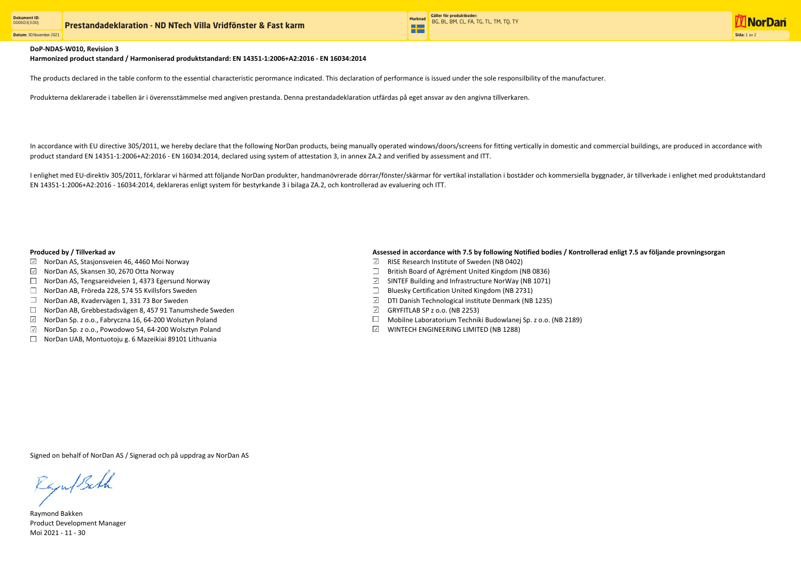**Datum:** 30 November 2021



## DoP-NDAS-W010, Revision 3

Produkterna deklarerade i tabellen är i överensstämmelse med angiven prestanda. Denna prestandadeklaration utfärdas på eget ansvar av den angivna tillverkaren.

In accordance with EU directive 305/2011, we hereby declare that the following NorDan products, being manually operated windows/doors/screens for fitting vertically in domestic and commercial buildings, are produced in acc product standard EN 14351-1:2006+A2:2016 - EN 16034:2014, declared using system of attestation 3, in annex ZA.2 and verified by assessment and ITT.

Raymond Bakken Product Development Manager Moi 2021 - 11 - 30

Signed on behalf of NorDan AS / Signerad och på uppdrag av NorDan AS

Raju/Bath

I enlighet med EU-direktiv 305/2011, förklarar vi härmed att följande NorDan produkter, handmanövrerade dörrar/fönster/skärmar för vertikal installation i bostäder och kommersiella byggnader, är tillverkade i enlighet med EN 14351-1:2006+A2:2016 - 16034:2014, deklareras enligt system för bestyrkande 3 i bilaga ZA.2, och kontrollerad av evaluering och ITT.

- $\boxdot$  NorDan AS, Stasjonsveien 46, 4460 Moi Norway
- $\boxdot$  NorDan AS, Skansen 30, 2670 Otta Norway
- $\Box$  NorDan AS, Tengsareidveien 1, 4373 Egersund Norway
- NorDan AB, Fröreda 228, 574 55 Kvillsfors Sweden
- $\Box$  NorDan AB, Kvadervägen 1, 331 73 Bor Sweden
- NorDan AB, Grebbestadsvägen 8, 457 91 Tanumshede Sweden
- $\boxdot$  NorDan Sp. z o.o., Fabryczna 16, 64-200 Wolsztyn Poland
- $\boxdot$  NorDan Sp. z o.o., Powodowo 54, 64-200 Wolsztyn Poland
- $\Box$  NorDan UAB, Montuotoju g. 6 Mazeikiai 89101 Lithuania

### Produced by / Tillverkad av **Assessed in accordance with 7.5 by following Notified bodies / Kontrollerad enligt 7.5 av följande provningsorgan**

- $\Box$  RISE Research Institute of Sweden (NB 0402)
- $\Box$  British Board of Agrément United Kingdom (NB 0836)
- $\boxdot$  SINTEF Building and Infrastructure NorWay (NB 1071)
- $\Box$  Bluesky Certification United Kingdom (NB 2731)
- $\boxdot$  DTI Danish Technological institute Denmark (NB 1235)
- $\boxdot$  GRYFITLAB SP z o.o. (NB 2253)
- Mobilne Laboratorium Techniki Budowlanej Sp. z o.o. (NB 2189)
- $\boxdot$  WINTECH ENGINEERING LIMITED (NB 1288)

Harmonized product standard / Harmoniserad produktstandard: EN 14351-1:2006+A2:2016 - EN 16034:2014

The products declared in the table conform to the essential characteristic perormance indicated. This declaration of performance is issued under the sole responsilbility of the manufacturer.